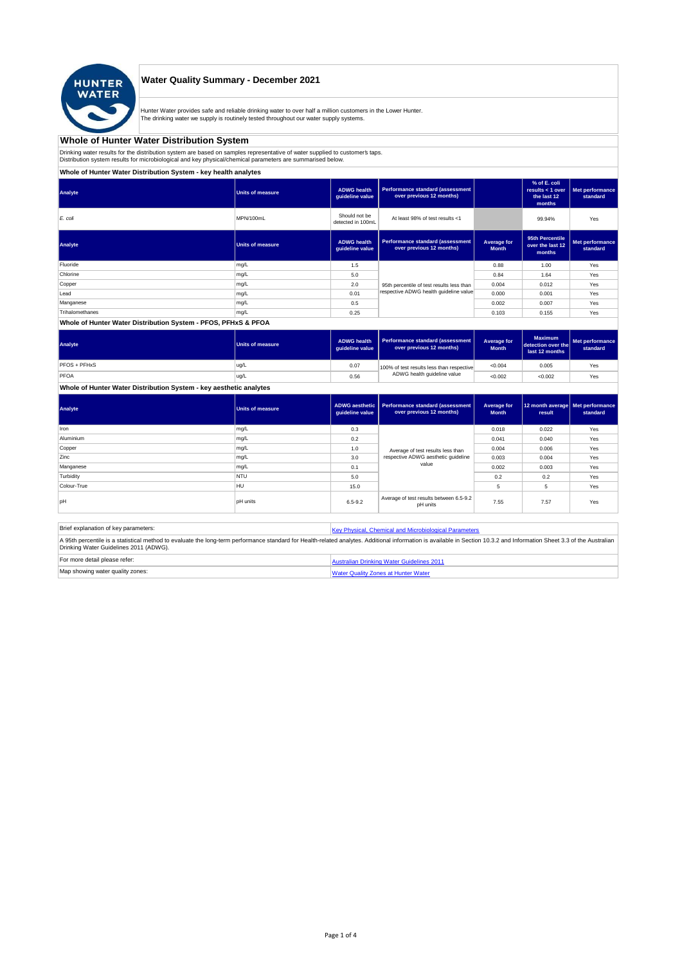

## **Water Quality Summary - December 2021**

Hunter Water provides safe and reliable drinking water to over half a million customers in the Lower Hunter. The drinking water we supply is routinely tested throughout our water supply systems.

# **Whole of Hunter Water Distribution System**

Drinking water results for the distribution system are based on samples representative of water supplied to customer' taps.<br>Distribution system results for microbiological and key physical/chemical parameters are summarise

**Whole of Hunter Water Distribution System - key health analytes**

| Analyte         | Units of measure        | <b>ADWG health</b><br>guideline value | Performance standard (assessment<br>over previous 12 months) |                             | % of E. coli<br>results $<$ 1 over<br>the last 12<br>months | Met performance<br>standard |
|-----------------|-------------------------|---------------------------------------|--------------------------------------------------------------|-----------------------------|-------------------------------------------------------------|-----------------------------|
| E. coli         | MPN/100mL               | Should not be<br>detected in 100mL    | At least 98% of test results <1                              |                             | 99.94%                                                      | Yes                         |
| Analyte         | <b>Units of measure</b> | <b>ADWG health</b><br>guideline value | Performance standard (assessment<br>over previous 12 months) | Average for<br><b>Month</b> | 95th Percentile<br>over the last 12<br>months               | Met performance<br>standard |
| Fluoride        | mg/L                    | 1.5                                   |                                                              | 0.88                        | 1.00                                                        | Yes                         |
| Chlorine        | mg/L                    | 5.0                                   |                                                              | 0.84                        | 1.64                                                        | Yes                         |
| Copper          | mg/L                    | 2.0                                   | 95th percentile of test results less than                    | 0.004                       | 0.012                                                       | Yes                         |
| Lead            | mg/L                    | 0.01                                  | respective ADWG health guideline value                       | 0.000                       | 0.001                                                       | Yes                         |
| Manganese       | mg/L                    | 0.5                                   |                                                              | 0.002                       | 0.007                                                       | Yes                         |
| Trihalomethanes | mg/L                    | 0.25                                  |                                                              | 0.103                       | 0.155                                                       | Yes                         |
|                 |                         |                                       |                                                              |                             |                                                             |                             |

### **Whole of Hunter Water Distribution System - PFOS, PFHxS & PFOA**

| Analyte      | Units of measure | <b>ADWG health</b><br>quideline value | Performance standard (assessment<br>over previous 12 months) | Average for<br><b>Month</b> | <b>Maximum</b><br>detection over the<br>last 12 months | Met performance<br>standard |
|--------------|------------------|---------------------------------------|--------------------------------------------------------------|-----------------------------|--------------------------------------------------------|-----------------------------|
| PFOS + PFHxS | ug/L             | 0.07                                  | 100% of test results less than respective                    | < 0.004                     | 0.005                                                  | Yes                         |
| PFOA         | ug/L             | 0.56                                  | ADWG health guideline value                                  | < 0.002                     | < 0.002                                                | Yes                         |

## **Whole of Hunter Water Distribution System - key aesthetic analytes**

| Analyte     | <b>Units of measure</b> | guideline value | ADWG aesthetic   Performance standard (assessment  <br>over previous 12 months) | Average for<br><b>Month</b> | 12 month average   Met performance<br>result | standard |
|-------------|-------------------------|-----------------|---------------------------------------------------------------------------------|-----------------------------|----------------------------------------------|----------|
| Iron        | mg/L                    | 0.3             |                                                                                 | 0.018                       | 0.022                                        | Yes      |
| Aluminium   | mg/L                    | 0.2             |                                                                                 | 0.041                       | 0.040                                        | Yes      |
| Copper      | mg/L                    | 1.0             |                                                                                 | 0.004                       | 0.006                                        | Yes      |
| Zinc        | mg/L                    | 3.0             | Average of test results less than<br>respective ADWG aesthetic quideline        | 0.003                       | 0.004                                        | Yes      |
| Manganese   | mg/L                    | 0.1             | value                                                                           | 0.002                       | 0.003                                        | Yes      |
| Turbidity   | <b>NTU</b>              | 5.0             |                                                                                 | 0.2                         | 0.2                                          | Yes      |
| Colour-True | <b>HU</b>               | 15.0            |                                                                                 | 5                           |                                              | Yes      |
| pH          | <b>pH</b> units         | $6.5 - 9.2$     | Average of test results between 6.5-9.2<br>pH units                             | 7.55                        | 7.57                                         | Yes      |

| Brief explanation of key parameters:   | Key Physical, Chemical and Microbiological Parameters                                                                                                                                                                   |
|----------------------------------------|-------------------------------------------------------------------------------------------------------------------------------------------------------------------------------------------------------------------------|
| Drinking Water Guidelines 2011 (ADWG). | A 95th percentile is a statistical method to evaluate the long-term performance standard for Health-related analytes. Additional information is available in Section 10.3.2 and Information Sheet 3.3 of the Australian |
| For more detail please refer:          | Australian Drinking Water Guidelines 2011                                                                                                                                                                               |
| Map showing water quality zones:       | <b>Water Quality Zones at Hunter Water</b>                                                                                                                                                                              |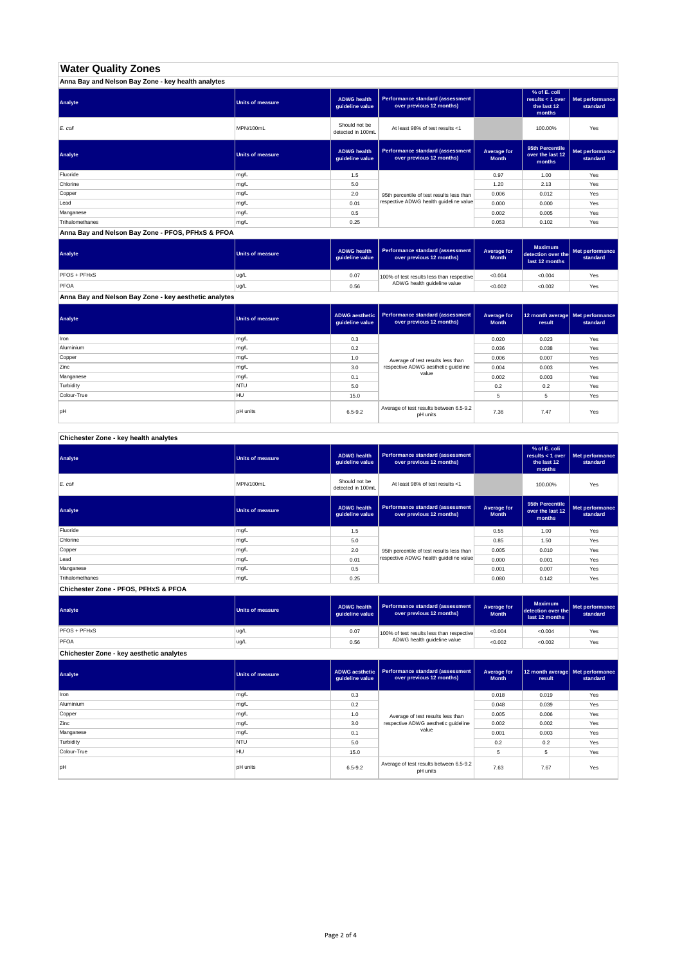# **Water Quality Zones**

| Anna Bay and Nelson Bay Zone - key health analytes |                  |                                       |                                                                     |                             |                                                           |                             |
|----------------------------------------------------|------------------|---------------------------------------|---------------------------------------------------------------------|-----------------------------|-----------------------------------------------------------|-----------------------------|
| Analyte                                            | Units of measure | <b>ADWG health</b><br>guideline value | <b>Performance standard (assessment</b><br>over previous 12 months) |                             | % of E. coli<br>results < 1 over<br>the last 12<br>months | Met performance<br>standard |
| E. coli                                            | MPN/100mL        | Should not be<br>detected in 100mL    | At least 98% of test results <1                                     |                             | 100.00%                                                   | Yes                         |
| Analyte                                            | Units of measure | <b>ADWG health</b><br>guideline value | Performance standard (assessment<br>over previous 12 months)        | Average for<br><b>Month</b> | 95th Percentile<br>over the last 12<br>months             | Met performance<br>standard |
| Fluoride                                           | mg/L             | 1.5                                   |                                                                     | 0.97                        | 1.00                                                      | Yes                         |
| Chlorine                                           | mg/L             | 5.0                                   |                                                                     | 1.20                        | 2.13                                                      | Yes                         |
| Copper                                             | mg/L             | 2.0                                   | 95th percentile of test results less than                           | 0.006                       | 0.012                                                     | Yes                         |
| Lead                                               | mg/L             | 0.01                                  | respective ADWG health quideline value                              | 0.000                       | 0.000                                                     | Yes                         |
| Manganese                                          | mg/L             | 0.5                                   |                                                                     | 0.002                       | 0.005                                                     | Yes                         |
| Trihalomethanes                                    | mg/L             | 0.25                                  |                                                                     | 0.053                       | 0.102                                                     | Yes                         |

**Anna Bay and Nelson Bay Zone - PFOS, PFHxS & PFOA**

| Analyte      | Units of measure | <b>ADWG health</b><br>quideline value | Performance standard (assessment<br>over previous 12 months) | <b>Average for</b><br><b>Month</b> | <b>Maximum</b><br>detection over the<br>last 12 months | Met performance<br>standard |
|--------------|------------------|---------------------------------------|--------------------------------------------------------------|------------------------------------|--------------------------------------------------------|-----------------------------|
| PFOS + PFHxS | ug/L             | 0.07                                  | 100% of test results less than respective                    | < 0.004                            | < 0.004                                                | Yes                         |
| PFOA         | ug/L             | 0.56                                  | ADWG health guideline value                                  | < 0.002                            | < 0.002                                                | Yes                         |

**Anna Bay and Nelson Bay Zone - key aesthetic analytes**

| Analyte     | Units of measure | ADWG aesthetic  <br>guideline value | Performance standard (assessment<br>over previous 12 months) | Average for<br><b>Month</b> | 12 month average   Met performance<br>result | standard |
|-------------|------------------|-------------------------------------|--------------------------------------------------------------|-----------------------------|----------------------------------------------|----------|
| Iron        | mg/L             | 0.3                                 |                                                              | 0.020                       | 0.023                                        | Yes      |
| Aluminium   | mg/L             | 0.2                                 |                                                              | 0.036                       | 0.038                                        | Yes      |
| Copper      | mg/L             | 1.0                                 | Average of test results less than                            | 0.006                       | 0.007                                        | Yes      |
| Zinc        | mg/L             | 3.0                                 | respective ADWG aesthetic quideline                          | 0.004                       | 0.003                                        | Yes      |
| Manganese   | mg/L             | 0.1                                 | value                                                        | 0.002                       | 0.003                                        | Yes      |
| Turbidity   | <b>NTU</b>       | 5.0                                 |                                                              | 0.2                         | 0.2                                          | Yes      |
| Colour-True | HU               | 15.0                                |                                                              |                             | 5                                            | Yes      |
| pH          | <b>pH</b> units  | $6.5 - 9.2$                         | Average of test results between 6.5-9.2<br>pH units          | 7.36                        | 7.47                                         | Yes      |

**Chichester Zone - key health analytes**

| Analyte         | <b>Units of measure</b> | <b>ADWG health</b><br>guideline value | Performance standard (assessment<br>over previous 12 months) |                             | % of E. coli<br>results < 1 over<br>the last 12<br>months | Met performance<br>standard |
|-----------------|-------------------------|---------------------------------------|--------------------------------------------------------------|-----------------------------|-----------------------------------------------------------|-----------------------------|
| E. coli         | MPN/100mL               | Should not be<br>detected in 100mL    | At least 98% of test results <1                              |                             | 100.00%                                                   | Yes                         |
| Analyte         | Units of measure        | <b>ADWG health</b><br>guideline value | Performance standard (assessment<br>over previous 12 months) | Average for<br><b>Month</b> | 95th Percentile<br>over the last 12<br>months             | Met performance<br>standard |
| Fluoride        | mg/L                    | 1.5                                   |                                                              | 0.55                        | 1.00                                                      | Yes                         |
| Chlorine        | mg/L                    | 5.0                                   |                                                              | 0.85                        | 1.50                                                      | Yes                         |
| Copper          | mg/L                    | 2.0                                   | 95th percentile of test results less than                    | 0.005                       | 0.010                                                     | Yes                         |
| Lead            | mg/L                    | 0.01                                  | respective ADWG health quideline value                       | 0.000                       | 0.001                                                     | Yes                         |
| Manganese       | mg/L                    | 0.5                                   |                                                              | 0.001                       | 0.007                                                     | Yes                         |
| Trihalomethanes | mg/L                    | 0.25                                  |                                                              | 0.080                       | 0.142                                                     | Yes                         |

**Chichester Zone - PFOS, PFHxS & PFOA**

| Analyte                                  | Units of measure | <b>ADWG health</b><br>auideline value | <b>Performance standard (assessment</b><br>over previous 12 months) | Average for<br><b>Month</b> | <b>Maximum</b><br>detection over the<br>last 12 months | Met performance<br>standard |
|------------------------------------------|------------------|---------------------------------------|---------------------------------------------------------------------|-----------------------------|--------------------------------------------------------|-----------------------------|
| PFOS + PFHxS                             | ug/L             | 0.07                                  | 100% of test results less than respective                           | < 0.004                     | < 0.004                                                | Yes                         |
| PFOA                                     | ug/L             | 0.56                                  | ADWG health guideline value                                         | < 0.002                     | < 0.002                                                | Yes                         |
| Chichester Zone - key aesthetic analytes |                  |                                       |                                                                     |                             |                                                        |                             |

| Analyte     | <b>Units of measure</b> | ADWG aesthetic<br>guideline value | Performance standard (assessment<br>over previous 12 months) | Average for<br><b>Month</b> | 12 month average Met performance<br>result | standard |
|-------------|-------------------------|-----------------------------------|--------------------------------------------------------------|-----------------------------|--------------------------------------------|----------|
| Iron        | mg/L                    | 0.3                               |                                                              | 0.018                       | 0.019                                      | Yes      |
| Aluminium   | mg/L                    | 0.2                               |                                                              | 0.048                       | 0.039                                      | Yes      |
| Copper      | mg/L                    | 1.0                               | Average of test results less than                            | 0.005                       | 0.006                                      | Yes      |
| Zinc        | mg/L                    | 3.0                               | respective ADWG aesthetic quideline                          | 0.002                       | 0.002                                      | Yes      |
| Manganese   | mg/L                    | 0.1                               | value                                                        | 0.001                       | 0.003                                      | Yes      |
| Turbidity   | <b>NTU</b>              | 5.0                               |                                                              | 0.2                         | 0.2                                        | Yes      |
| Colour-True | <b>HU</b>               | 15.0                              |                                                              | 5                           | 5                                          | Yes      |
| pH          | <b>pH</b> units         | $6.5 - 9.2$                       | Average of test results between 6.5-9.2<br>pH units          | 7.63                        | 7.67                                       | Yes      |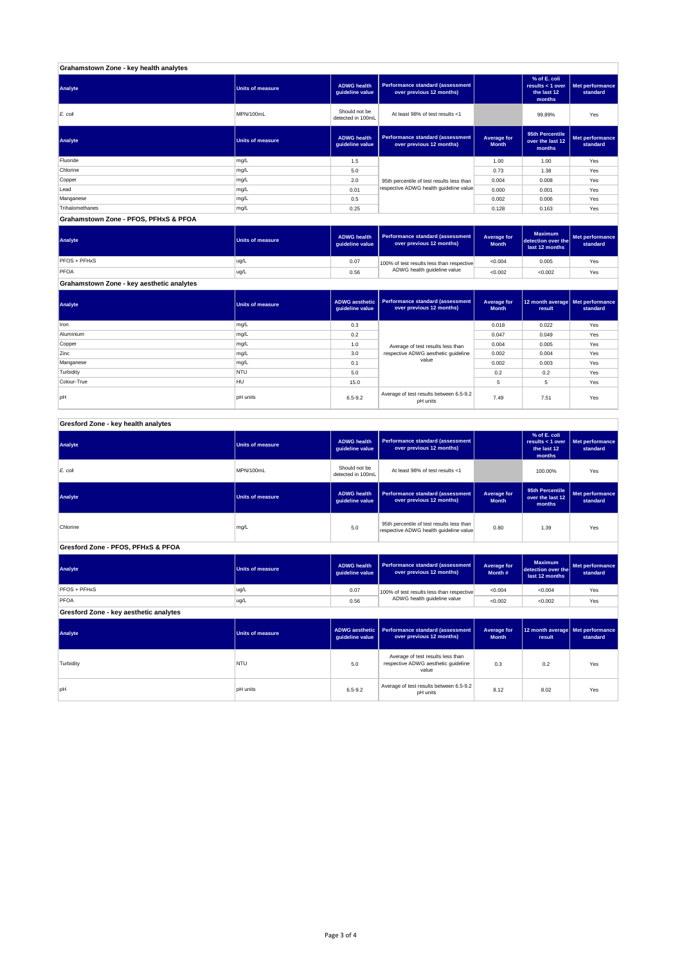| Grahamstown Zone - key health analytes |                         |                                       |                                                              |                             |                                                           |                             |
|----------------------------------------|-------------------------|---------------------------------------|--------------------------------------------------------------|-----------------------------|-----------------------------------------------------------|-----------------------------|
| Analyte                                | <b>Units of measure</b> | <b>ADWG health</b><br>guideline value | Performance standard (assessment<br>over previous 12 months) |                             | % of E. coli<br>results < 1 over<br>the last 12<br>months | Met performance<br>standard |
| E. coli                                | MPN/100mL               | Should not be<br>detected in 100mL    | At least 98% of test results <1                              |                             | 99.89%                                                    | Yes                         |
| Analyte                                | <b>Units of measure</b> | <b>ADWG health</b><br>guideline value | Performance standard (assessment<br>over previous 12 months) | Average for<br><b>Month</b> | 95th Percentile<br>over the last 12<br>months             | Met performance<br>standard |
| Fluoride                               | mg/L                    | 1.5                                   |                                                              | 1.00                        | 1.00                                                      | Yes                         |
| Chlorine                               | mg/L                    | 5.0                                   |                                                              | 0.73                        | 1.38                                                      | Yes                         |
| Copper                                 | mg/L                    | 2.0                                   | 95th percentile of test results less than                    | 0.004                       | 0.008                                                     | Yes                         |
| Lead                                   | mg/L                    | 0.01                                  | respective ADWG health guideline value                       | 0.000                       | 0.001                                                     | Yes                         |
| Manganese                              | mg/L                    | 0.5                                   |                                                              | 0.002                       | 0.006                                                     | Yes                         |
| Trihalomethanes                        | mg/L                    | 0.25                                  |                                                              | 0.128                       | 0.163                                                     | Yes                         |
| Grahamstown Zone - PFOS, PFHxS & PFOA  |                         |                                       |                                                              |                             |                                                           |                             |

**ADWG health guideline value Average for Month Maximum detection over the last 12 months Met performance standard** 0.07 100% of test results less than respective  $\sim 0.004$  0.005  $\sim$  Yes 0.56 <0.002 <0.002 Yes **Grahamstown Zone - key aesthetic analytes** PFOS + PFHxS ug/L PFOA ug/L 100% of test results less than respective ADWG health guideline value **Analyte Performance standard (assessment <b>Performance standard (assessment Performance standard (assessment Performance standard (assessment Performance standard (assessment** 

**ADWG aesthetic guideline value Average for Month 12 month average result Met performance standard** 0.3 0.018 0.022 Yes 0.2 0.047 0.049 Yes 1.0 average of text results less than 0.004 0.005  $\sim$  Yes 3.0 | respective ADWG aesthetic guideline | 0.002 | 0.004 | Yes 0.1 | <sup>carac</sup> | 0.002 | 0.003 | Yes 5.0 0.2 0.2 Yes 15.0 5 5 Yes pH pH units contract the set of test results between 6.5-9.2 7.49 7.51 Yes<br>pH pH units contract results between 5.5-9.2 8.5-9.2 7.49 7.51 Yes pH units Manganese mg/L and the material control of the material control of the material control of the material control of the material control of the material control of the material control of the material control of the materia **Turbidity** NTU Colour-True HULL Aluminium mg/L Copper mg/L Zinc mg/L **Analyte Performance standard (assessment <b>Performance standard (assessment Performance standard (assessment Performance standard (assessment performance standard (assessment**) Iron mg/L Average of test results less than respective ADWG aesthetic guideline value

#### **ADWG health guideline value % of E. coli results < 1 over the last 12 months Met performance standard** Should not be<br>detected in 100ml detected in 100mL 100.00% Yes *E. coli* MPN/100mL At least 98% of test results <1 **ADWG health guideline value Average for Month 95th Percentile over the last 12 months Met performance standard** mg/L 95.0 percentile of test results less than percentile of test respective ADWG health guideline value of the metalline of the metalline value of the metalline value of the metalline value of the metalline value of the m **ADWG health guideline value Average for Month # Maximum detection over the last 12 months Met performance standard** 0.07 100% of test results less than respective  $\sim 0.004$   $\sim 0.004$  Yes 0.56 <0.002 <0.002 Yes **ADWG aesthetic guideline value Average for Month 12 month average result Met performance standard** 5.0 0.3 0.2 Yes Average of test results less than respective ADWG aesthetic guideline pH units 6.5-9.2 Average of test results between 6.5-9.2 8.02 Yes<br>Average of test results between 6.5-9.2 8.02 Yes **Gresford Zone - key aesthetic analytes Analyte Performance standard (assessment Performance standard (assessment Performance standard (assessment Performance standard (assessment performance standard (assessment**) **Turbidity** NTU value PFOS + PFHxS ug/L PFOA ug/L 100% of test results less than respective ADWG health guideline value **Gresford Zone - PFOS, PFHxS & PFOA Analyte Performance standard (assessment <b>Performance standard (assessment Performance standard (assessment Performance standard (assessment performance standard (assessment Analyte Performance standard (assessment <b>Performance standard (assessment Performance standard (assessment Performance standard (assessment Performance standard (assessment Gresford Zone - key health analytes Analyte Performance standard (assessment Performance standard (assessment Performance standard (assessment Performance standard (assessment performance standard (assessment**